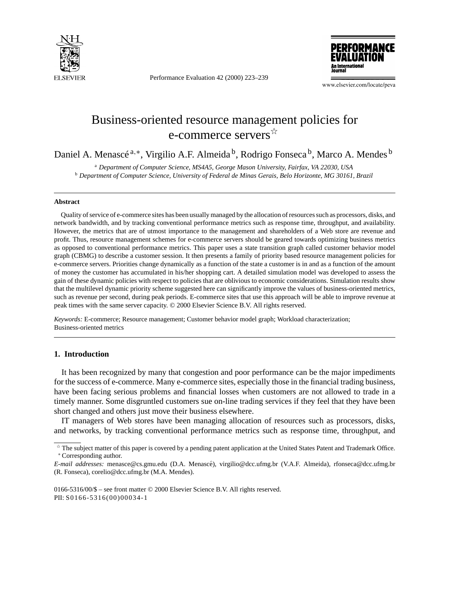

Performance Evaluation 42 (2000) 223–239



www.elsevier.com/locate/peva

## Business-oriented resource management policies for e-commerce servers $\vec{r}$

Daniel A. Menascé<sup>a,∗</sup>, Virgilio A.F. Almeida<sup>b</sup>, Rodrigo Fonseca<sup>b</sup>, Marco A. Mendes<sup>b</sup>

<sup>a</sup> *Department of Computer Science, MS4A5, George Mason University, Fairfax, VA 22030, USA* <sup>b</sup> *Department of Computer Science, University of Federal de Minas Gerais, Belo Horizonte, MG 30161, Brazil*

#### **Abstract**

Quality of service of e-commerce sites has been usually managed by the allocation of resources such as processors, disks, and network bandwidth, and by tracking conventional performance metrics such as response time, throughput, and availability. However, the metrics that are of utmost importance to the management and shareholders of a Web store are revenue and profit. Thus, resource management schemes for e-commerce servers should be geared towards optimizing business metrics as opposed to conventional performance metrics. This paper uses a state transition graph called customer behavior model graph (CBMG) to describe a customer session. It then presents a family of priority based resource management policies for e-commerce servers. Priorities change dynamically as a function of the state a customer is in and as a function of the amount of money the customer has accumulated in his/her shopping cart. A detailed simulation model was developed to assess the gain of these dynamic policies with respect to policies that are oblivious to economic considerations. Simulation results show that the multilevel dynamic priority scheme suggested here can significantly improve the values of business-oriented metrics, such as revenue per second, during peak periods. E-commerce sites that use this approach will be able to improve revenue at peak times with the same server capacity. © 2000 Elsevier Science B.V. All rights reserved.

*Keywords:* E-commerce; Resource management; Customer behavior model graph; Workload characterization; Business-oriented metrics

### **1. Introduction**

It has been recognized by many that congestion and poor performance can be the major impediments for the success of e-commerce. Many e-commerce sites, especially those in the financial trading business, have been facing serious problems and financial losses when customers are not allowed to trade in a timely manner. Some disgruntled customers sue on-line trading services if they feel that they have been short changed and others just move their business elsewhere.

IT managers of Web stores have been managing allocation of resources such as processors, disks, and networks, by tracking conventional performance metrics such as response time, throughput, and

 $\dot{\gamma}$  The subject matter of this paper is covered by a pending patent application at the United States Patent and Trademark Office. <sup>∗</sup> Corresponding author.

*E-mail addresses:* menasce@cs.gmu.edu (D.A. Menasce), virgilio@dcc.ufmg.br (V.A.F. Almeida), rfonseca@dcc.ufmg.br ´ (R. Fonseca), corelio@dcc.ufmg.br (M.A. Mendes).

<sup>0166-5316/00/\$ –</sup> see front matter © 2000 Elsevier Science B.V. All rights reserved. PII: S0166-5316(00)00034-1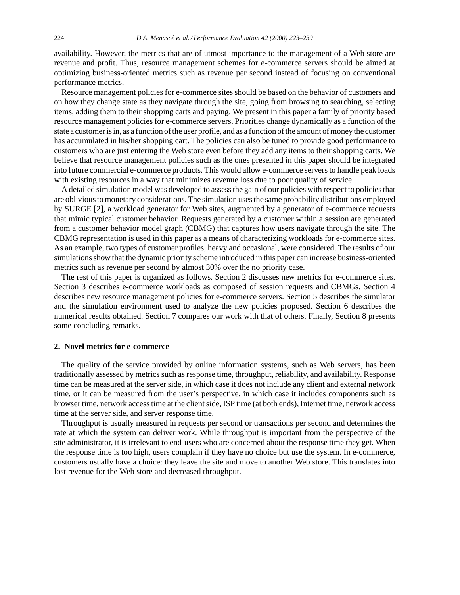availability. However, the metrics that are of utmost importance to the management of a Web store are revenue and profit. Thus, resource management schemes for e-commerce servers should be aimed at optimizing business-oriented metrics such as revenue per second instead of focusing on conventional performance metrics.

Resource management policies for e-commerce sites should be based on the behavior of customers and on how they change state as they navigate through the site, going from browsing to searching, selecting items, adding them to their shopping carts and paying. We present in this paper a family of priority based resource management policies for e-commerce servers. Priorities change dynamically as a function of the state a customer is in, as a function of the user profile, and as a function of the amount of money the customer has accumulated in his/her shopping cart. The policies can also be tuned to provide good performance to customers who are just entering the Web store even before they add any items to their shopping carts. We believe that resource management policies such as the ones presented in this paper should be integrated into future commercial e-commerce products. This would allow e-commerce servers to handle peak loads with existing resources in a way that minimizes revenue loss due to poor quality of service.

A detailed simulation model was developed to assess the gain of our policies with respect to policies that are oblivious to monetary considerations. The simulation uses the same probability distributions employed by SURGE [2], a workload generator for Web sites, augmented by a generator of e-commerce requests that mimic typical customer behavior. Requests generated by a customer within a session are generated from a customer behavior model graph (CBMG) that captures how users navigate through the site. The CBMG representation is used in this paper as a means of characterizing workloads for e-commerce sites. As an example, two types of customer profiles, heavy and occasional, were considered. The results of our simulations show that the dynamic priority scheme introduced in this paper can increase business-oriented metrics such as revenue per second by almost 30% over the no priority case.

The rest of this paper is organized as follows. Section 2 discusses new metrics for e-commerce sites. Section 3 describes e-commerce workloads as composed of session requests and CBMGs. Section 4 describes new resource management policies for e-commerce servers. Section 5 describes the simulator and the simulation environment used to analyze the new policies proposed. Section 6 describes the numerical results obtained. Section 7 compares our work with that of others. Finally, Section 8 presents some concluding remarks.

### **2. Novel metrics for e-commerce**

The quality of the service provided by online information systems, such as Web servers, has been traditionally assessed by metrics such as response time, throughput, reliability, and availability. Response time can be measured at the server side, in which case it does not include any client and external network time, or it can be measured from the user's perspective, in which case it includes components such as browser time, network access time at the client side, ISP time (at both ends), Internet time, network access time at the server side, and server response time.

Throughput is usually measured in requests per second or transactions per second and determines the rate at which the system can deliver work. While throughput is important from the perspective of the site administrator, it is irrelevant to end-users who are concerned about the response time they get. When the response time is too high, users complain if they have no choice but use the system. In e-commerce, customers usually have a choice: they leave the site and move to another Web store. This translates into lost revenue for the Web store and decreased throughput.